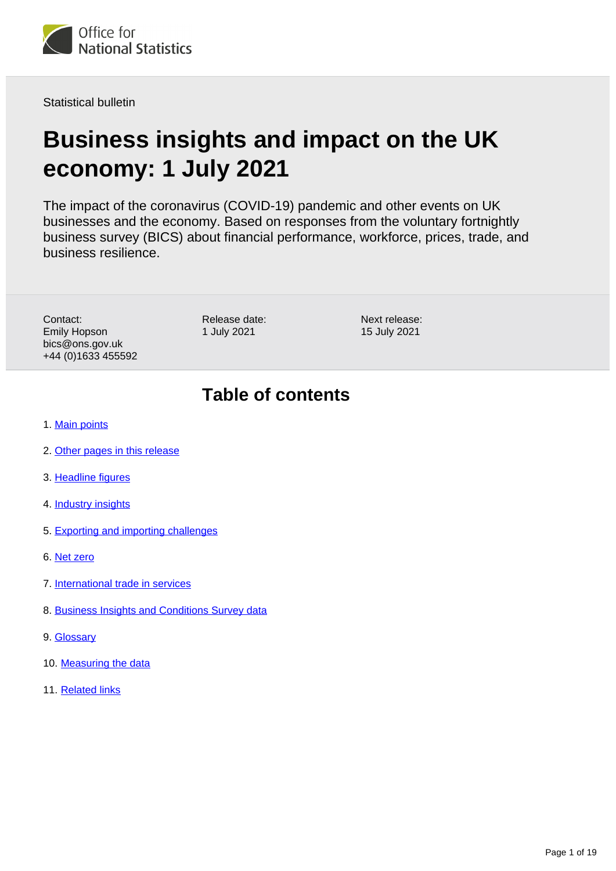

Statistical bulletin

# **Business insights and impact on the UK economy: 1 July 2021**

The impact of the coronavirus (COVID-19) pandemic and other events on UK businesses and the economy. Based on responses from the voluntary fortnightly business survey (BICS) about financial performance, workforce, prices, trade, and business resilience.

Contact: Emily Hopson bics@ons.gov.uk +44 (0)1633 455592 Release date: 1 July 2021

Next release: 15 July 2021

# **Table of contents**

- 1. [Main points](#page-1-0)
- 2. [Other pages in this release](#page-1-1)
- 3. [Headline figures](#page-1-2)
- 4. **[Industry insights](#page-5-0)**
- 5. [Exporting and importing challenges](#page-12-0)
- 6. [Net zero](#page-13-0)
- 7. [International trade in services](#page-15-0)
- 8. [Business Insights and Conditions Survey data](#page-15-1)
- 9. [Glossary](#page-16-0)
- 10. [Measuring the data](#page-17-0)
- 11. [Related links](#page-18-0)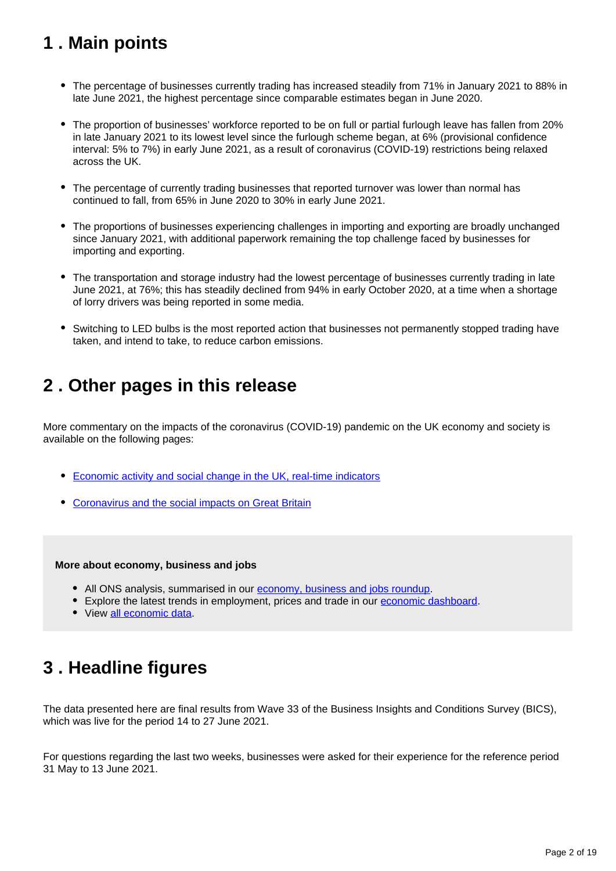# <span id="page-1-0"></span>**1 . Main points**

- The percentage of businesses currently trading has increased steadily from 71% in January 2021 to 88% in late June 2021, the highest percentage since comparable estimates began in June 2020.
- The proportion of businesses' workforce reported to be on full or partial furlough leave has fallen from 20% in late January 2021 to its lowest level since the furlough scheme began, at 6% (provisional confidence interval: 5% to 7%) in early June 2021, as a result of coronavirus (COVID-19) restrictions being relaxed across the UK.
- The percentage of currently trading businesses that reported turnover was lower than normal has continued to fall, from 65% in June 2020 to 30% in early June 2021.
- The proportions of businesses experiencing challenges in importing and exporting are broadly unchanged since January 2021, with additional paperwork remaining the top challenge faced by businesses for importing and exporting.
- The transportation and storage industry had the lowest percentage of businesses currently trading in late June 2021, at 76%; this has steadily declined from 94% in early October 2020, at a time when a shortage of lorry drivers was being reported in some media.
- Switching to LED bulbs is the most reported action that businesses not permanently stopped trading have taken, and intend to take, to reduce carbon emissions.

# <span id="page-1-1"></span>**2 . Other pages in this release**

More commentary on the impacts of the coronavirus (COVID-19) pandemic on the UK economy and society is available on the following pages:

- [Economic activity and social change in the UK, real-time indicators](https://www.ons.gov.uk/economy/economicoutputandproductivity/output/bulletins/economicactivityandsocialchangeintheukrealtimeindicators/latest)
- [Coronavirus and the social impacts on Great Britain](https://www.ons.gov.uk/peoplepopulationandcommunity/healthandsocialcare/healthandwellbeing/bulletins/coronavirusandthesocialimpactsongreatbritain/latest)

**More about economy, business and jobs**

- All ONS analysis, summarised in our [economy, business and jobs roundup.](https://www.ons.gov.uk/economy/economicoutputandproductivity/output/articles/ukeconomylatest/2021-01-25)
- Explore the latest trends in employment, prices and trade in our [economic dashboard.](https://www.ons.gov.uk/economy/nationalaccounts/articles/dashboardunderstandingtheukeconomy/2017-02-22)
- View [all economic data](https://www.ons.gov.uk/economy/datalist?filter=datasets).

# <span id="page-1-2"></span>**3 . Headline figures**

The data presented here are final results from Wave 33 of the Business Insights and Conditions Survey (BICS), which was live for the period 14 to 27 June 2021.

For questions regarding the last two weeks, businesses were asked for their experience for the reference period 31 May to 13 June 2021.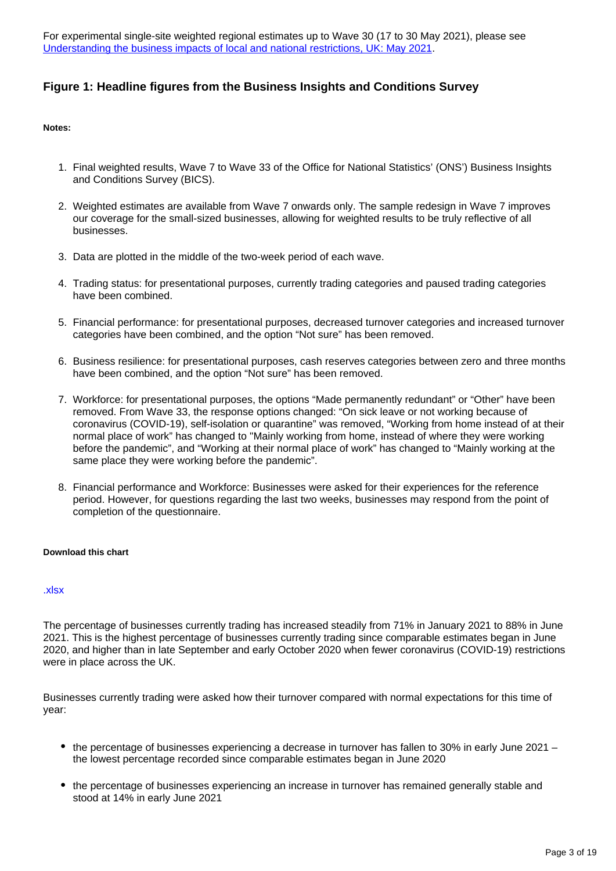## **Figure 1: Headline figures from the Business Insights and Conditions Survey**

### **Notes:**

- 1. Final weighted results, Wave 7 to Wave 33 of the Office for National Statistics' (ONS') Business Insights and Conditions Survey (BICS).
- 2. Weighted estimates are available from Wave 7 onwards only. The sample redesign in Wave 7 improves our coverage for the small-sized businesses, allowing for weighted results to be truly reflective of all businesses.
- 3. Data are plotted in the middle of the two-week period of each wave.
- 4. Trading status: for presentational purposes, currently trading categories and paused trading categories have been combined.
- 5. Financial performance: for presentational purposes, decreased turnover categories and increased turnover categories have been combined, and the option "Not sure" has been removed.
- 6. Business resilience: for presentational purposes, cash reserves categories between zero and three months have been combined, and the option "Not sure" has been removed.
- 7. Workforce: for presentational purposes, the options "Made permanently redundant" or "Other" have been removed. From Wave 33, the response options changed: "On sick leave or not working because of coronavirus (COVID-19), self-isolation or quarantine" was removed, "Working from home instead of at their normal place of work" has changed to "Mainly working from home, instead of where they were working before the pandemic", and "Working at their normal place of work" has changed to "Mainly working at the same place they were working before the pandemic".
- 8. Financial performance and Workforce: Businesses were asked for their experiences for the reference period. However, for questions regarding the last two weeks, businesses may respond from the point of completion of the questionnaire.

### **Download this chart**

### [.xlsx](https://www.ons.gov.uk/visualisations/dvc1447/dashboard/datadownload.xlsx)

The percentage of businesses currently trading has increased steadily from 71% in January 2021 to 88% in June 2021. This is the highest percentage of businesses currently trading since comparable estimates began in June 2020, and higher than in late September and early October 2020 when fewer coronavirus (COVID-19) restrictions were in place across the UK.

Businesses currently trading were asked how their turnover compared with normal expectations for this time of year:

- the percentage of businesses experiencing a decrease in turnover has fallen to 30% in early June 2021 the lowest percentage recorded since comparable estimates began in June 2020
- the percentage of businesses experiencing an increase in turnover has remained generally stable and stood at 14% in early June 2021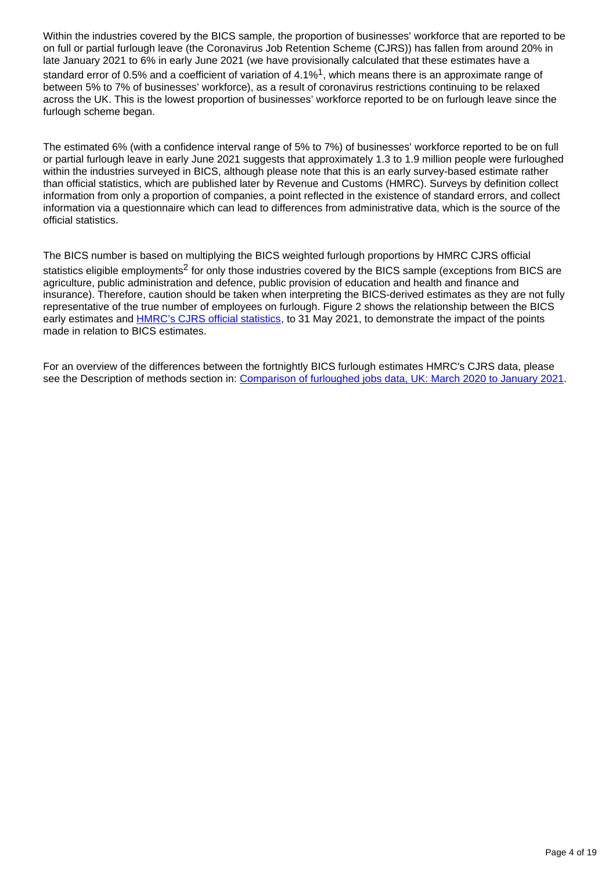Within the industries covered by the BICS sample, the proportion of businesses' workforce that are reported to be on full or partial furlough leave (the Coronavirus Job Retention Scheme (CJRS)) has fallen from around 20% in late January 2021 to 6% in early June 2021 (we have provisionally calculated that these estimates have a standard error of 0.5% and a coefficient of variation of 4.1%<sup>1</sup>, which means there is an approximate range of between 5% to 7% of businesses' workforce), as a result of coronavirus restrictions continuing to be relaxed across the UK. This is the lowest proportion of businesses' workforce reported to be on furlough leave since the furlough scheme began.

The estimated 6% (with a confidence interval range of 5% to 7%) of businesses' workforce reported to be on full or partial furlough leave in early June 2021 suggests that approximately 1.3 to 1.9 million people were furloughed within the industries surveyed in BICS, although please note that this is an early survey-based estimate rather than official statistics, which are published later by Revenue and Customs (HMRC). Surveys by definition collect information from only a proportion of companies, a point reflected in the existence of standard errors, and collect information via a questionnaire which can lead to differences from administrative data, which is the source of the official statistics.

The BICS number is based on multiplying the BICS weighted furlough proportions by HMRC CJRS official statistics eligible employments<sup>2</sup> for only those industries covered by the BICS sample (exceptions from BICS are agriculture, public administration and defence, public provision of education and health and finance and insurance). Therefore, caution should be taken when interpreting the BICS-derived estimates as they are not fully representative of the true number of employees on furlough. Figure 2 shows the relationship between the BICS early estimates and **HMRC's CJRS** official statistics, to 31 May 2021, to demonstrate the impact of the points made in relation to BICS estimates.

For an overview of the differences between the fortnightly BICS furlough estimates HMRC's CJRS data, please see the Description of methods section in: [Comparison of furloughed jobs data, UK: March 2020 to January 2021](https://www.ons.gov.uk/businessindustryandtrade/business/businessservices/articles/comparisonoffurloughedjobsdata/march2020tojanuary2021#description-of-methods).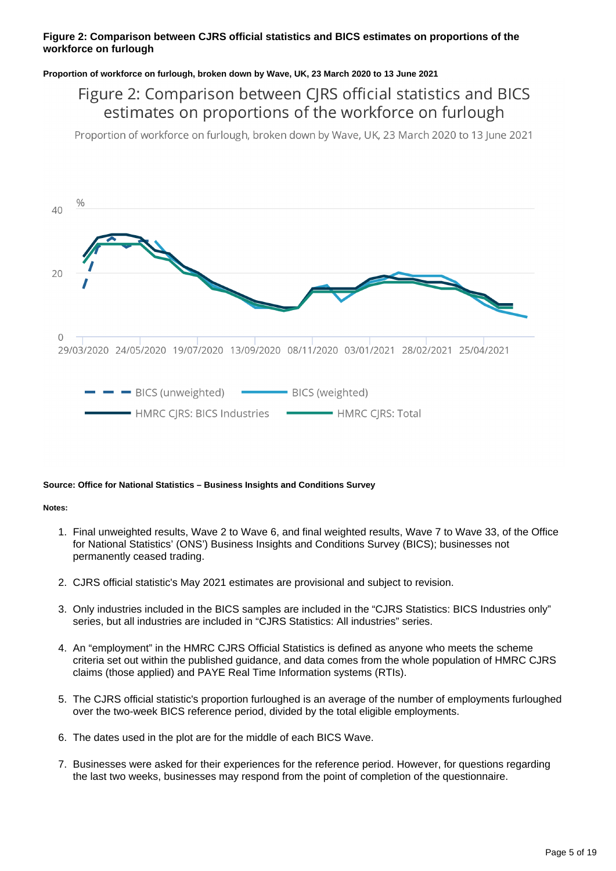## **Figure 2: Comparison between CJRS official statistics and BICS estimates on proportions of the workforce on furlough**

### **Proportion of workforce on furlough, broken down by Wave, UK, 23 March 2020 to 13 June 2021**

# Figure 2: Comparison between CJRS official statistics and BICS estimates on proportions of the workforce on furlough

Proportion of workforce on furlough, broken down by Wave, UK, 23 March 2020 to 13 June 2021



### **Source: Office for National Statistics – Business Insights and Conditions Survey**

- 1. Final unweighted results, Wave 2 to Wave 6, and final weighted results, Wave 7 to Wave 33, of the Office for National Statistics' (ONS') Business Insights and Conditions Survey (BICS); businesses not permanently ceased trading.
- 2. CJRS official statistic's May 2021 estimates are provisional and subject to revision.
- 3. Only industries included in the BICS samples are included in the "CJRS Statistics: BICS Industries only" series, but all industries are included in "CJRS Statistics: All industries" series.
- 4. An "employment" in the HMRC CJRS Official Statistics is defined as anyone who meets the scheme criteria set out within the published guidance, and data comes from the whole population of HMRC CJRS claims (those applied) and PAYE Real Time Information systems (RTIs).
- 5. The CJRS official statistic's proportion furloughed is an average of the number of employments furloughed over the two-week BICS reference period, divided by the total eligible employments.
- 6. The dates used in the plot are for the middle of each BICS Wave.
- 7. Businesses were asked for their experiences for the reference period. However, for questions regarding the last two weeks, businesses may respond from the point of completion of the questionnaire.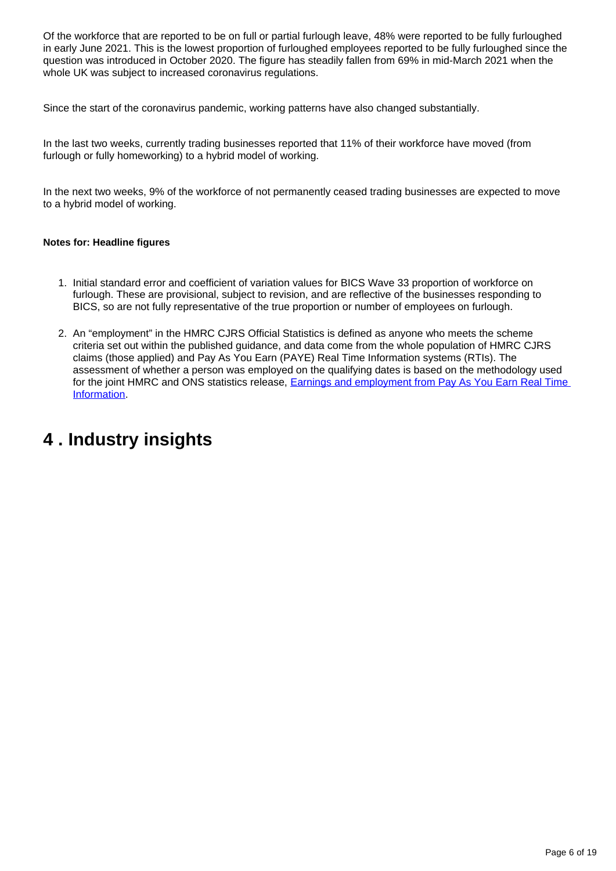Of the workforce that are reported to be on full or partial furlough leave, 48% were reported to be fully furloughed in early June 2021. This is the lowest proportion of furloughed employees reported to be fully furloughed since the question was introduced in October 2020. The figure has steadily fallen from 69% in mid-March 2021 when the whole UK was subject to increased coronavirus regulations.

Since the start of the coronavirus pandemic, working patterns have also changed substantially.

In the last two weeks, currently trading businesses reported that 11% of their workforce have moved (from furlough or fully homeworking) to a hybrid model of working.

In the next two weeks, 9% of the workforce of not permanently ceased trading businesses are expected to move to a hybrid model of working.

### **Notes for: Headline figures**

- 1. Initial standard error and coefficient of variation values for BICS Wave 33 proportion of workforce on furlough. These are provisional, subject to revision, and are reflective of the businesses responding to BICS, so are not fully representative of the true proportion or number of employees on furlough.
- 2. An "employment" in the HMRC CJRS Official Statistics is defined as anyone who meets the scheme criteria set out within the published guidance, and data come from the whole population of HMRC CJRS claims (those applied) and Pay As You Earn (PAYE) Real Time Information systems (RTIs). The assessment of whether a person was employed on the qualifying dates is based on the methodology used for the joint HMRC and ONS statistics release, [Earnings and employment from Pay As You Earn Real Time](https://www.ons.gov.uk/employmentandlabourmarket/peopleinwork/earningsandworkinghours/bulletins/earningsandemploymentfrompayasyouearnrealtimeinformationuk/latest)  [Information](https://www.ons.gov.uk/employmentandlabourmarket/peopleinwork/earningsandworkinghours/bulletins/earningsandemploymentfrompayasyouearnrealtimeinformationuk/latest).

# <span id="page-5-0"></span>**4 . Industry insights**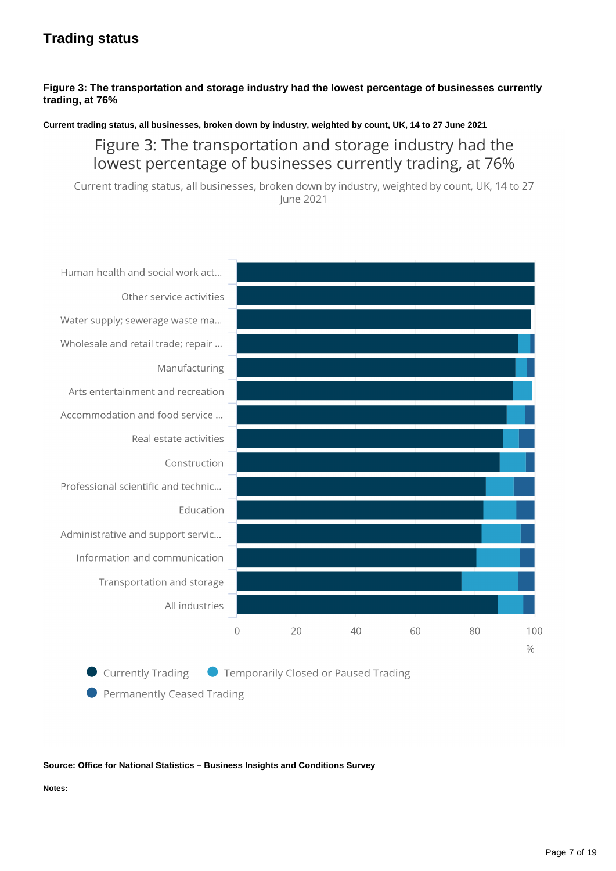# **Trading status**

## **Figure 3: The transportation and storage industry had the lowest percentage of businesses currently trading, at 76%**

**Current trading status, all businesses, broken down by industry, weighted by count, UK, 14 to 27 June 2021**

# Figure 3: The transportation and storage industry had the lowest percentage of businesses currently trading, at 76%

Current trading status, all businesses, broken down by industry, weighted by count, UK, 14 to 27 June 2021



Currently Trading C Temporarily Closed or Paused Trading

Permanently Ceased Trading

### **Source: Office for National Statistics – Business Insights and Conditions Survey**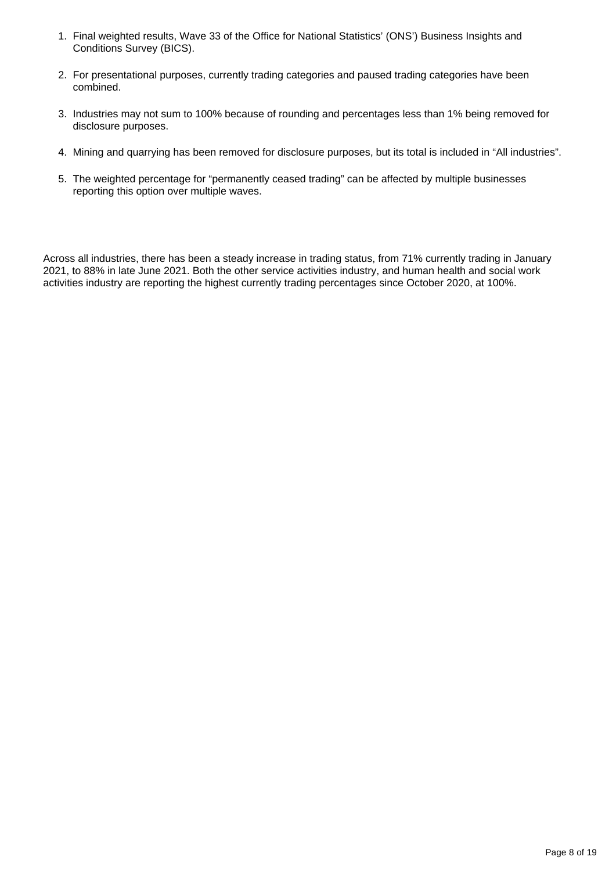- 1. Final weighted results, Wave 33 of the Office for National Statistics' (ONS') Business Insights and Conditions Survey (BICS).
- 2. For presentational purposes, currently trading categories and paused trading categories have been combined.
- 3. Industries may not sum to 100% because of rounding and percentages less than 1% being removed for disclosure purposes.
- 4. Mining and quarrying has been removed for disclosure purposes, but its total is included in "All industries".
- 5. The weighted percentage for "permanently ceased trading" can be affected by multiple businesses reporting this option over multiple waves.

Across all industries, there has been a steady increase in trading status, from 71% currently trading in January 2021, to 88% in late June 2021. Both the other service activities industry, and human health and social work activities industry are reporting the highest currently trading percentages since October 2020, at 100%.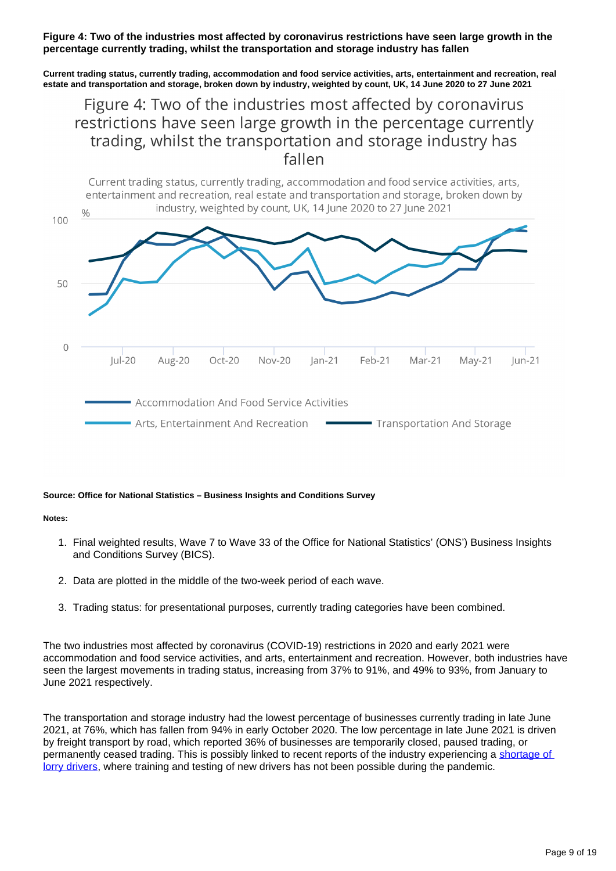### **Figure 4: Two of the industries most affected by coronavirus restrictions have seen large growth in the percentage currently trading, whilst the transportation and storage industry has fallen**

**Current trading status, currently trading, accommodation and food service activities, arts, entertainment and recreation, real estate and transportation and storage, broken down by industry, weighted by count, UK, 14 June 2020 to 27 June 2021**

# Figure 4: Two of the industries most affected by coronavirus restrictions have seen large growth in the percentage currently trading, whilst the transportation and storage industry has fallen



### **Source: Office for National Statistics – Business Insights and Conditions Survey**

### **Notes:**

- 1. Final weighted results, Wave 7 to Wave 33 of the Office for National Statistics' (ONS') Business Insights and Conditions Survey (BICS).
- 2. Data are plotted in the middle of the two-week period of each wave.
- 3. Trading status: for presentational purposes, currently trading categories have been combined.

The two industries most affected by coronavirus (COVID-19) restrictions in 2020 and early 2021 were accommodation and food service activities, and arts, entertainment and recreation. However, both industries have seen the largest movements in trading status, increasing from 37% to 91%, and 49% to 93%, from January to June 2021 respectively.

The transportation and storage industry had the lowest percentage of businesses currently trading in late June 2021, at 76%, which has fallen from 94% in early October 2020. The low percentage in late June 2021 is driven by freight transport by road, which reported 36% of businesses are temporarily closed, paused trading, or permanently ceased trading. This is possibly linked to recent reports of the industry experiencing a [shortage of](https://www.bbc.co.uk/news/uk-england-northamptonshire-57587253)  [lorry drivers,](https://www.bbc.co.uk/news/uk-england-northamptonshire-57587253) where training and testing of new drivers has not been possible during the pandemic.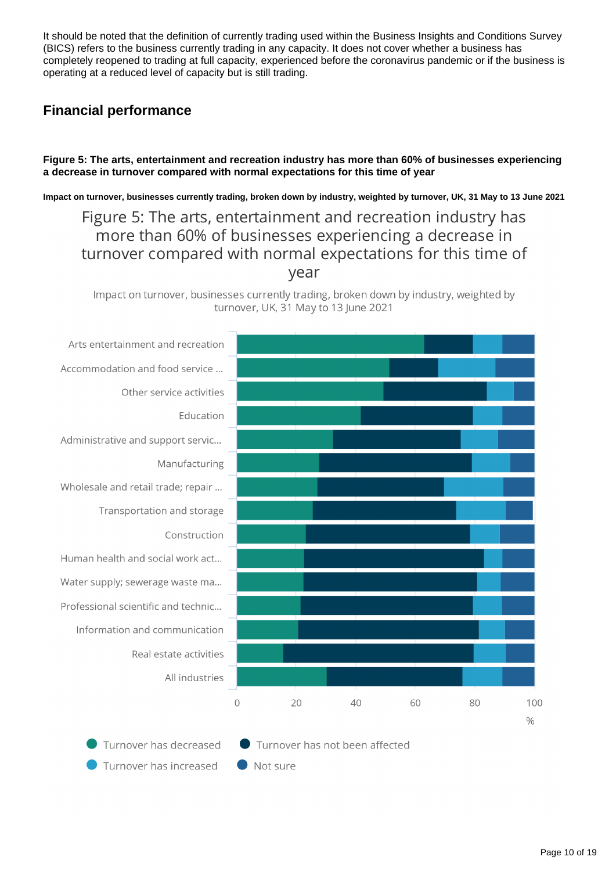It should be noted that the definition of currently trading used within the Business Insights and Conditions Survey (BICS) refers to the business currently trading in any capacity. It does not cover whether a business has completely reopened to trading at full capacity, experienced before the coronavirus pandemic or if the business is operating at a reduced level of capacity but is still trading.

# **Financial performance**

**Figure 5: The arts, entertainment and recreation industry has more than 60% of businesses experiencing a decrease in turnover compared with normal expectations for this time of year**

**Impact on turnover, businesses currently trading, broken down by industry, weighted by turnover, UK, 31 May to 13 June 2021**

Figure 5: The arts, entertainment and recreation industry has more than 60% of businesses experiencing a decrease in turnover compared with normal expectations for this time of year

Impact on turnover, businesses currently trading, broken down by industry, weighted by turnover, UK, 31 May to 13 June 2021



Turnover has decreased Turnover has increased

Turnover has not been affected

Not sure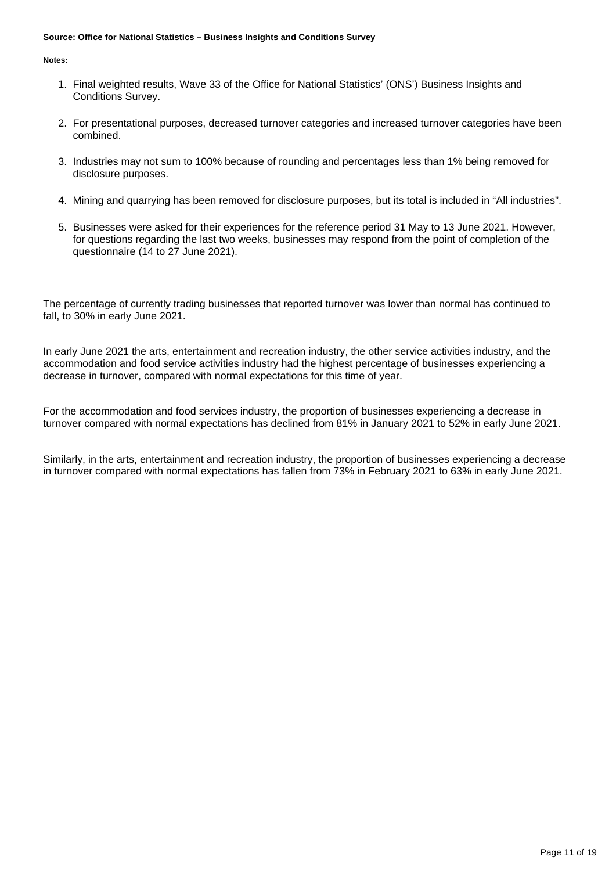#### **Source: Office for National Statistics – Business Insights and Conditions Survey**

#### **Notes:**

- 1. Final weighted results, Wave 33 of the Office for National Statistics' (ONS') Business Insights and Conditions Survey.
- 2. For presentational purposes, decreased turnover categories and increased turnover categories have been combined.
- 3. Industries may not sum to 100% because of rounding and percentages less than 1% being removed for disclosure purposes.
- 4. Mining and quarrying has been removed for disclosure purposes, but its total is included in "All industries".
- 5. Businesses were asked for their experiences for the reference period 31 May to 13 June 2021. However, for questions regarding the last two weeks, businesses may respond from the point of completion of the questionnaire (14 to 27 June 2021).

The percentage of currently trading businesses that reported turnover was lower than normal has continued to fall, to 30% in early June 2021.

In early June 2021 the arts, entertainment and recreation industry, the other service activities industry, and the accommodation and food service activities industry had the highest percentage of businesses experiencing a decrease in turnover, compared with normal expectations for this time of year.

For the accommodation and food services industry, the proportion of businesses experiencing a decrease in turnover compared with normal expectations has declined from 81% in January 2021 to 52% in early June 2021.

Similarly, in the arts, entertainment and recreation industry, the proportion of businesses experiencing a decrease in turnover compared with normal expectations has fallen from 73% in February 2021 to 63% in early June 2021.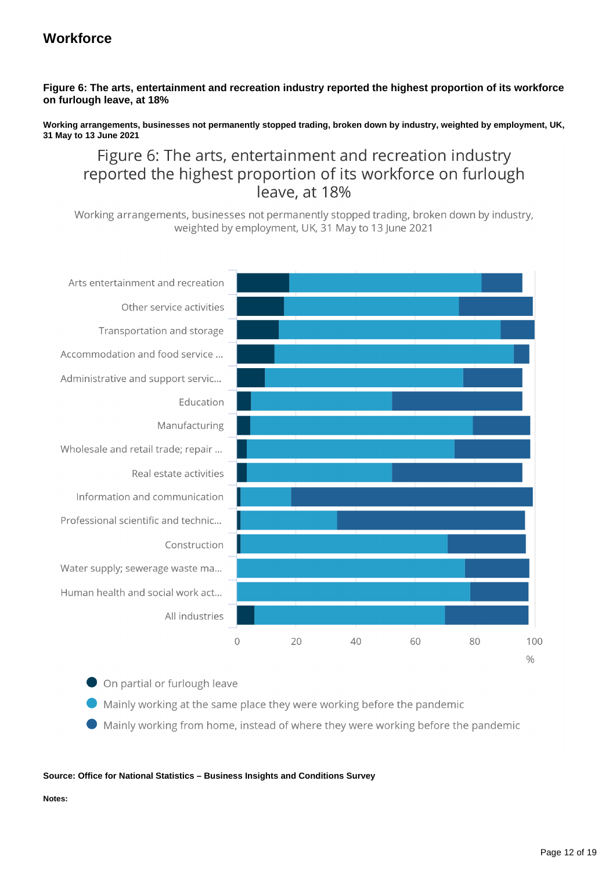## **Figure 6: The arts, entertainment and recreation industry reported the highest proportion of its workforce on furlough leave, at 18%**

**Working arrangements, businesses not permanently stopped trading, broken down by industry, weighted by employment, UK, 31 May to 13 June 2021**

# Figure 6: The arts, entertainment and recreation industry reported the highest proportion of its workforce on furlough leave, at 18%

Working arrangements, businesses not permanently stopped trading, broken down by industry. weighted by employment, UK, 31 May to 13 June 2021



On partial or furlough leave

Mainly working at the same place they were working before the pandemic

 $\blacktriangleright$  Mainly working from home, instead of where they were working before the pandemic

### **Source: Office for National Statistics – Business Insights and Conditions Survey**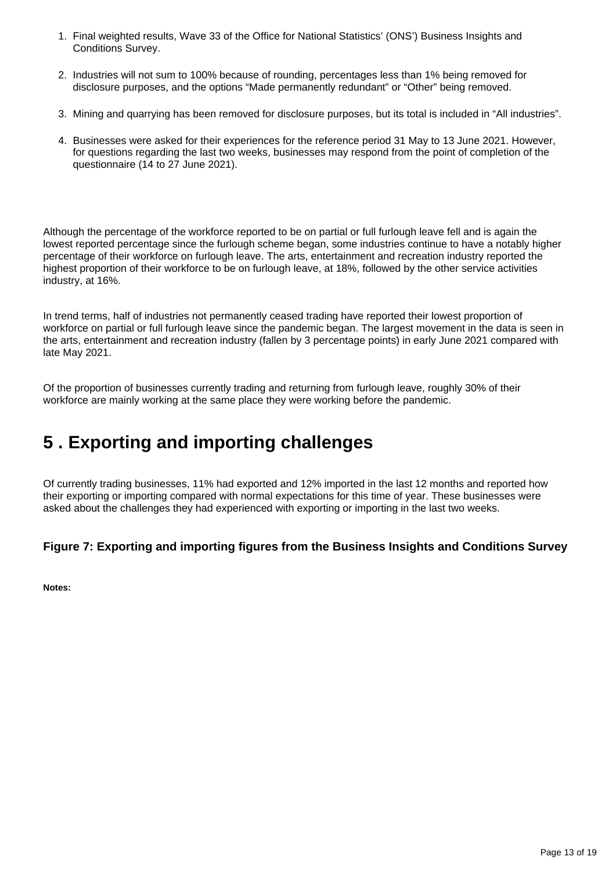- 1. Final weighted results, Wave 33 of the Office for National Statistics' (ONS') Business Insights and Conditions Survey.
- 2. Industries will not sum to 100% because of rounding, percentages less than 1% being removed for disclosure purposes, and the options "Made permanently redundant" or "Other" being removed.
- 3. Mining and quarrying has been removed for disclosure purposes, but its total is included in "All industries".
- 4. Businesses were asked for their experiences for the reference period 31 May to 13 June 2021. However, for questions regarding the last two weeks, businesses may respond from the point of completion of the questionnaire (14 to 27 June 2021).

Although the percentage of the workforce reported to be on partial or full furlough leave fell and is again the lowest reported percentage since the furlough scheme began, some industries continue to have a notably higher percentage of their workforce on furlough leave. The arts, entertainment and recreation industry reported the highest proportion of their workforce to be on furlough leave, at 18%, followed by the other service activities industry, at 16%.

In trend terms, half of industries not permanently ceased trading have reported their lowest proportion of workforce on partial or full furlough leave since the pandemic began. The largest movement in the data is seen in the arts, entertainment and recreation industry (fallen by 3 percentage points) in early June 2021 compared with late May 2021.

Of the proportion of businesses currently trading and returning from furlough leave, roughly 30% of their workforce are mainly working at the same place they were working before the pandemic.

# <span id="page-12-0"></span>**5 . Exporting and importing challenges**

Of currently trading businesses, 11% had exported and 12% imported in the last 12 months and reported how their exporting or importing compared with normal expectations for this time of year. These businesses were asked about the challenges they had experienced with exporting or importing in the last two weeks.

## **Figure 7: Exporting and importing figures from the Business Insights and Conditions Survey**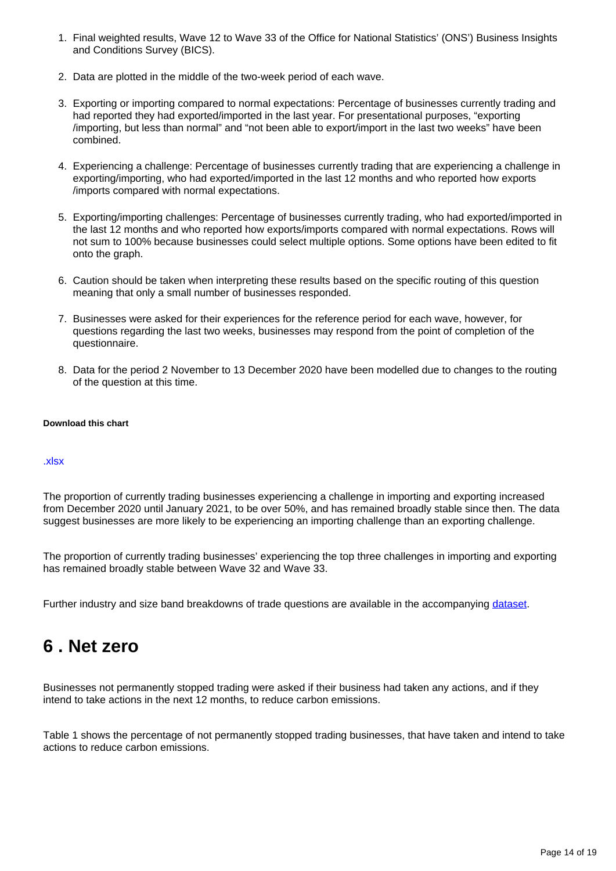- 1. Final weighted results, Wave 12 to Wave 33 of the Office for National Statistics' (ONS') Business Insights and Conditions Survey (BICS).
- 2. Data are plotted in the middle of the two-week period of each wave.
- 3. Exporting or importing compared to normal expectations: Percentage of businesses currently trading and had reported they had exported/imported in the last year. For presentational purposes, "exporting /importing, but less than normal" and "not been able to export/import in the last two weeks" have been combined.
- 4. Experiencing a challenge: Percentage of businesses currently trading that are experiencing a challenge in exporting/importing, who had exported/imported in the last 12 months and who reported how exports /imports compared with normal expectations.
- 5. Exporting/importing challenges: Percentage of businesses currently trading, who had exported/imported in the last 12 months and who reported how exports/imports compared with normal expectations. Rows will not sum to 100% because businesses could select multiple options. Some options have been edited to fit onto the graph.
- 6. Caution should be taken when interpreting these results based on the specific routing of this question meaning that only a small number of businesses responded.
- 7. Businesses were asked for their experiences for the reference period for each wave, however, for questions regarding the last two weeks, businesses may respond from the point of completion of the questionnaire.
- 8. Data for the period 2 November to 13 December 2020 have been modelled due to changes to the routing of the question at this time.

### **Download this chart**

### [.xlsx](https://www.ons.gov.uk/visualisations/dvc1447/trade/datadownload.xlsx)

The proportion of currently trading businesses experiencing a challenge in importing and exporting increased from December 2020 until January 2021, to be over 50%, and has remained broadly stable since then. The data suggest businesses are more likely to be experiencing an importing challenge than an exporting challenge.

The proportion of currently trading businesses' experiencing the top three challenges in importing and exporting has remained broadly stable between Wave 32 and Wave 33.

Further industry and size band breakdowns of trade questions are available in the accompanying [dataset](https://www.ons.gov.uk/economy/economicoutputandproductivity/output/datasets/businessinsightsandimpactontheukeconomy).

# <span id="page-13-0"></span>**6 . Net zero**

Businesses not permanently stopped trading were asked if their business had taken any actions, and if they intend to take actions in the next 12 months, to reduce carbon emissions.

Table 1 shows the percentage of not permanently stopped trading businesses, that have taken and intend to take actions to reduce carbon emissions.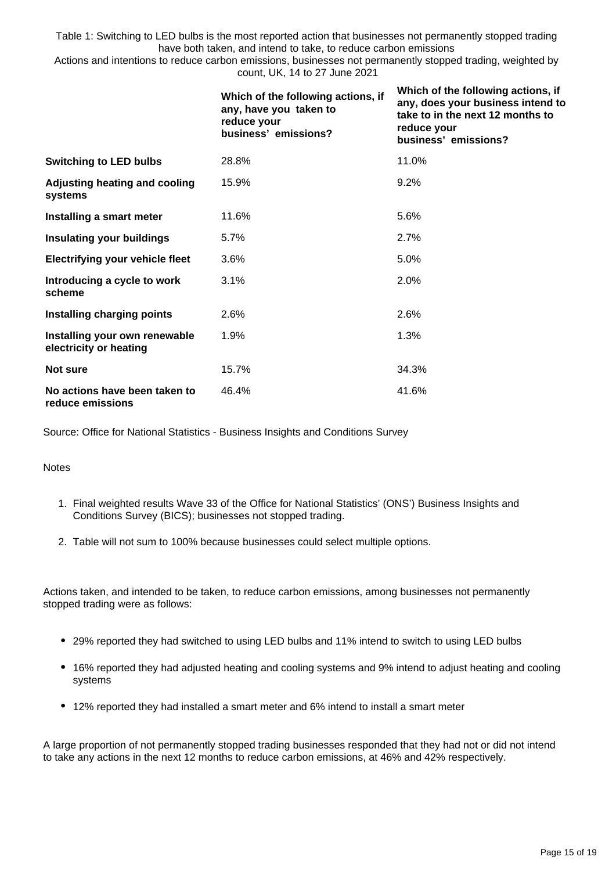Table 1: Switching to LED bulbs is the most reported action that businesses not permanently stopped trading have both taken, and intend to take, to reduce carbon emissions

Actions and intentions to reduce carbon emissions, businesses not permanently stopped trading, weighted by count, UK, 14 to 27 June 2021

|                                                         | Which of the following actions, if<br>any, have you taken to<br>reduce your<br>business' emissions? | Which of the following actions, if<br>any, does your business intend to<br>take to in the next 12 months to<br>reduce your<br>business' emissions? |
|---------------------------------------------------------|-----------------------------------------------------------------------------------------------------|----------------------------------------------------------------------------------------------------------------------------------------------------|
| <b>Switching to LED bulbs</b>                           | 28.8%                                                                                               | 11.0%                                                                                                                                              |
| <b>Adjusting heating and cooling</b><br>systems         | 15.9%                                                                                               | 9.2%                                                                                                                                               |
| Installing a smart meter                                | 11.6%                                                                                               | 5.6%                                                                                                                                               |
| Insulating your buildings                               | 5.7%                                                                                                | 2.7%                                                                                                                                               |
| <b>Electrifying your vehicle fleet</b>                  | $3.6\%$                                                                                             | 5.0%                                                                                                                                               |
| Introducing a cycle to work<br>scheme                   | 3.1%                                                                                                | 2.0%                                                                                                                                               |
| Installing charging points                              | 2.6%                                                                                                | 2.6%                                                                                                                                               |
| Installing your own renewable<br>electricity or heating | 1.9%                                                                                                | 1.3%                                                                                                                                               |
| Not sure                                                | 15.7%                                                                                               | 34.3%                                                                                                                                              |
| No actions have been taken to<br>reduce emissions       | 46.4%                                                                                               | 41.6%                                                                                                                                              |

Source: Office for National Statistics - Business Insights and Conditions Survey

### **Notes**

- 1. Final weighted results Wave 33 of the Office for National Statistics' (ONS') Business Insights and Conditions Survey (BICS); businesses not stopped trading.
- 2. Table will not sum to 100% because businesses could select multiple options.

Actions taken, and intended to be taken, to reduce carbon emissions, among businesses not permanently stopped trading were as follows:

- 29% reported they had switched to using LED bulbs and 11% intend to switch to using LED bulbs
- 16% reported they had adjusted heating and cooling systems and 9% intend to adjust heating and cooling systems
- 12% reported they had installed a smart meter and 6% intend to install a smart meter

A large proportion of not permanently stopped trading businesses responded that they had not or did not intend to take any actions in the next 12 months to reduce carbon emissions, at 46% and 42% respectively.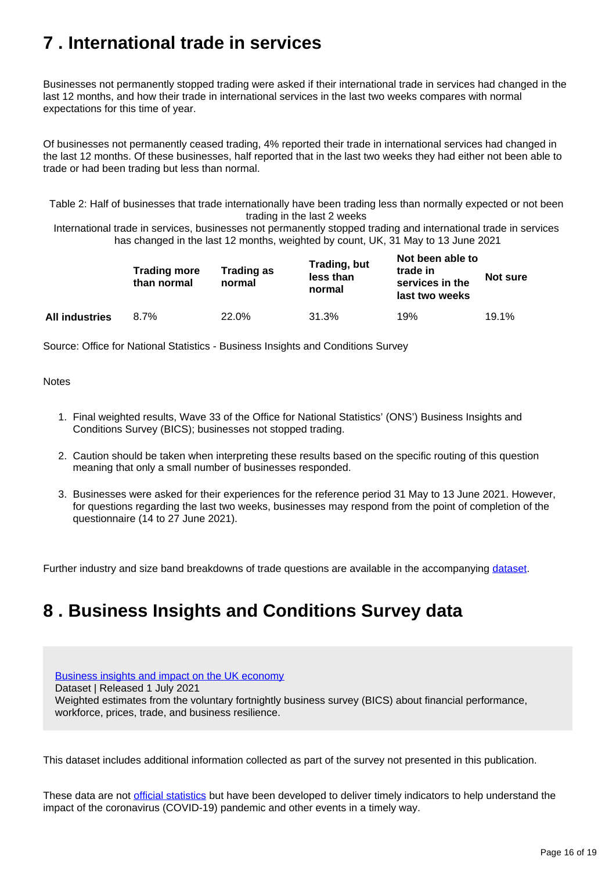# <span id="page-15-0"></span>**7 . International trade in services**

Businesses not permanently stopped trading were asked if their international trade in services had changed in the last 12 months, and how their trade in international services in the last two weeks compares with normal expectations for this time of year.

Of businesses not permanently ceased trading, 4% reported their trade in international services had changed in the last 12 months. Of these businesses, half reported that in the last two weeks they had either not been able to trade or had been trading but less than normal.

Table 2: Half of businesses that trade internationally have been trading less than normally expected or not been trading in the last 2 weeks

International trade in services, businesses not permanently stopped trading and international trade in services has changed in the last 12 months, weighted by count, UK, 31 May to 13 June 2021

|                | <b>Trading more</b><br>than normal | <b>Trading as</b><br>normal | Trading, but<br>less than<br>normal | Not been able to<br>trade in<br>services in the<br>last two weeks | Not sure |
|----------------|------------------------------------|-----------------------------|-------------------------------------|-------------------------------------------------------------------|----------|
| All industries | 8.7%                               | 22.0%                       | 31.3%                               | 19%                                                               | 19.1%    |

Source: Office for National Statistics - Business Insights and Conditions Survey

### **Notes**

- 1. Final weighted results, Wave 33 of the Office for National Statistics' (ONS') Business Insights and Conditions Survey (BICS); businesses not stopped trading.
- 2. Caution should be taken when interpreting these results based on the specific routing of this question meaning that only a small number of businesses responded.
- 3. Businesses were asked for their experiences for the reference period 31 May to 13 June 2021. However, for questions regarding the last two weeks, businesses may respond from the point of completion of the questionnaire (14 to 27 June 2021).

Further industry and size band breakdowns of trade questions are available in the accompanying [dataset](https://www.ons.gov.uk/economy/economicoutputandproductivity/output/datasets/businessinsightsandimpactontheukeconomy).

# <span id="page-15-1"></span>**8 . Business Insights and Conditions Survey data**

[Business insights and impact on the UK economy](https://www.ons.gov.uk/economy/economicoutputandproductivity/output/datasets/businessinsightsandimpactontheukeconomy) Dataset | Released 1 July 2021 Weighted estimates from the voluntary fortnightly business survey (BICS) about financial performance, workforce, prices, trade, and business resilience.

This dataset includes additional information collected as part of the survey not presented in this publication.

These data are not [official statistics](https://uksa.statisticsauthority.gov.uk/about-the-authority/what-we-do/uk-statistical-system/types-of-official-statistics/) but have been developed to deliver timely indicators to help understand the impact of the coronavirus (COVID-19) pandemic and other events in a timely way.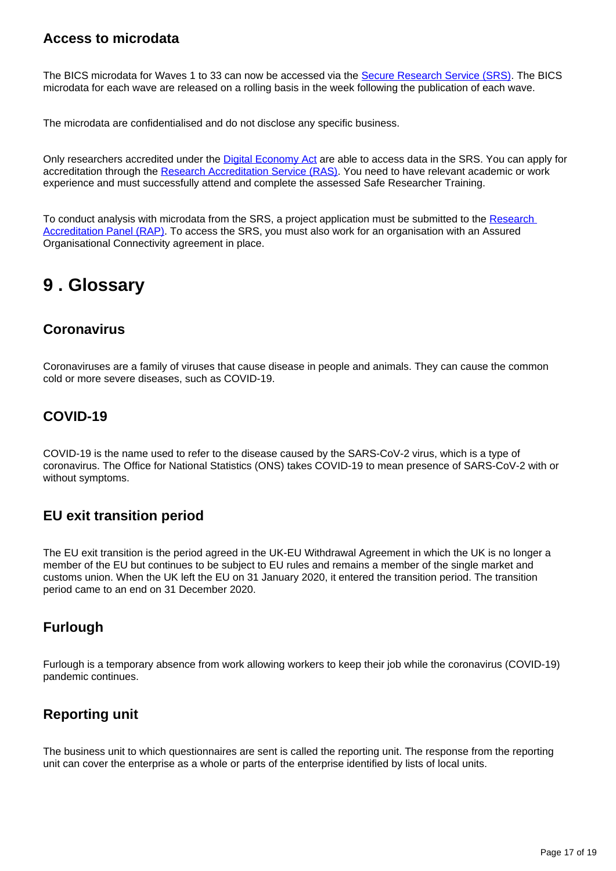# **Access to microdata**

The BICS microdata for Waves 1 to 33 can now be accessed via the [Secure Research Service \(SRS\)](https://www.ons.gov.uk/aboutus/whatwedo/statistics/requestingstatistics/approvedresearcherscheme). The BICS microdata for each wave are released on a rolling basis in the week following the publication of each wave.

The microdata are confidentialised and do not disclose any specific business.

Only researchers accredited under the [Digital Economy Act](https://uksa.statisticsauthority.gov.uk/about-the-authority/better-useofdata-statistics-and-research/) are able to access data in the SRS. You can apply for accreditation through the [Research Accreditation Service \(RAS\)](https://researchaccreditationservice.ons.gov.uk/ons/ONS_registration.ofml). You need to have relevant academic or work experience and must successfully attend and complete the assessed Safe Researcher Training.

To conduct analysis with microdata from the SRS, a project application must be submitted to the Research [Accreditation Panel \(RAP\).](https://uksa.statisticsauthority.gov.uk/digitaleconomyact-research-statistics/research-accreditation-panel/) To access the SRS, you must also work for an organisation with an Assured Organisational Connectivity agreement in place.

# <span id="page-16-0"></span>**9 . Glossary**

## **Coronavirus**

Coronaviruses are a family of viruses that cause disease in people and animals. They can cause the common cold or more severe diseases, such as COVID-19.

# **COVID-19**

COVID-19 is the name used to refer to the disease caused by the SARS-CoV-2 virus, which is a type of coronavirus. The Office for National Statistics (ONS) takes COVID-19 to mean presence of SARS-CoV-2 with or without symptoms.

## **EU exit transition period**

The EU exit transition is the period agreed in the UK-EU Withdrawal Agreement in which the UK is no longer a member of the EU but continues to be subject to EU rules and remains a member of the single market and customs union. When the UK left the EU on 31 January 2020, it entered the transition period. The transition period came to an end on 31 December 2020.

## **Furlough**

Furlough is a temporary absence from work allowing workers to keep their job while the coronavirus (COVID-19) pandemic continues.

# **Reporting unit**

The business unit to which questionnaires are sent is called the reporting unit. The response from the reporting unit can cover the enterprise as a whole or parts of the enterprise identified by lists of local units.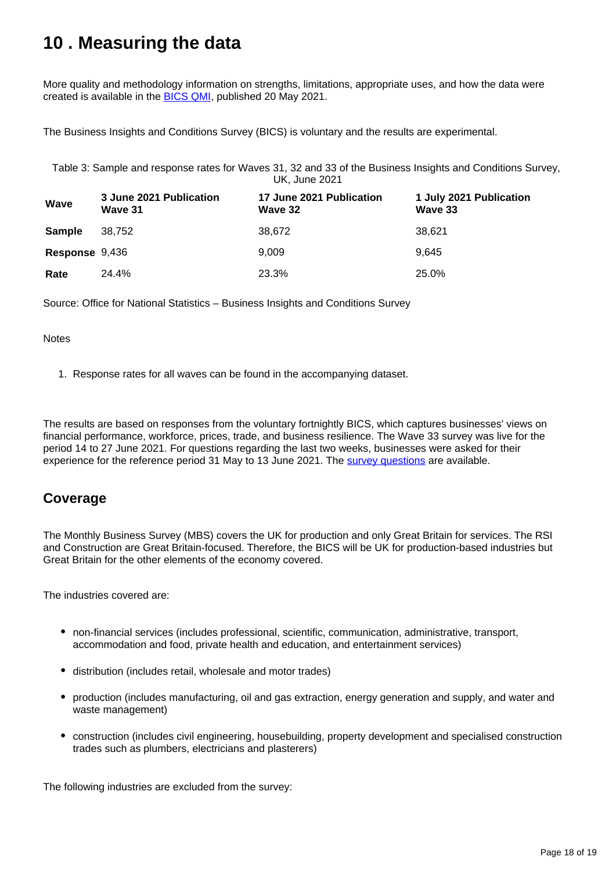# <span id="page-17-0"></span>**10 . Measuring the data**

More quality and methodology information on strengths, limitations, appropriate uses, and how the data were created is available in the **BICS QMI**, published 20 May 2021.

The Business Insights and Conditions Survey (BICS) is voluntary and the results are experimental.

Table 3: Sample and response rates for Waves 31, 32 and 33 of the Business Insights and Conditions Survey, UK, June 2021

| Wave                  | 3 June 2021 Publication<br>Wave 31 | 17 June 2021 Publication<br>Wave 32 | 1 July 2021 Publication<br>Wave 33 |
|-----------------------|------------------------------------|-------------------------------------|------------------------------------|
| <b>Sample</b>         | 38.752                             | 38.672                              | 38.621                             |
| <b>Response</b> 9,436 |                                    | 9.009                               | 9.645                              |
| Rate                  | 24.4%                              | 23.3%                               | 25.0%                              |

Source: Office for National Statistics – Business Insights and Conditions Survey

### **Notes**

1. Response rates for all waves can be found in the accompanying dataset.

The results are based on responses from the voluntary fortnightly BICS, which captures businesses' views on financial performance, workforce, prices, trade, and business resilience. The Wave 33 survey was live for the period 14 to 27 June 2021. For questions regarding the last two weeks, businesses were asked for their experience for the reference period 31 May to 13 June 2021. The [survey questions](https://www.ons.gov.uk/peoplepopulationandcommunity/healthandsocialcare/conditionsanddiseases/articles/businessimpactofcovid19surveyquestions/14june2021to27june2021) are available.

## **Coverage**

The Monthly Business Survey (MBS) covers the UK for production and only Great Britain for services. The RSI and Construction are Great Britain-focused. Therefore, the BICS will be UK for production-based industries but Great Britain for the other elements of the economy covered.

The industries covered are:

- non-financial services (includes professional, scientific, communication, administrative, transport, accommodation and food, private health and education, and entertainment services)
- distribution (includes retail, wholesale and motor trades)
- production (includes manufacturing, oil and gas extraction, energy generation and supply, and water and waste management)
- construction (includes civil engineering, housebuilding, property development and specialised construction trades such as plumbers, electricians and plasterers)

The following industries are excluded from the survey: